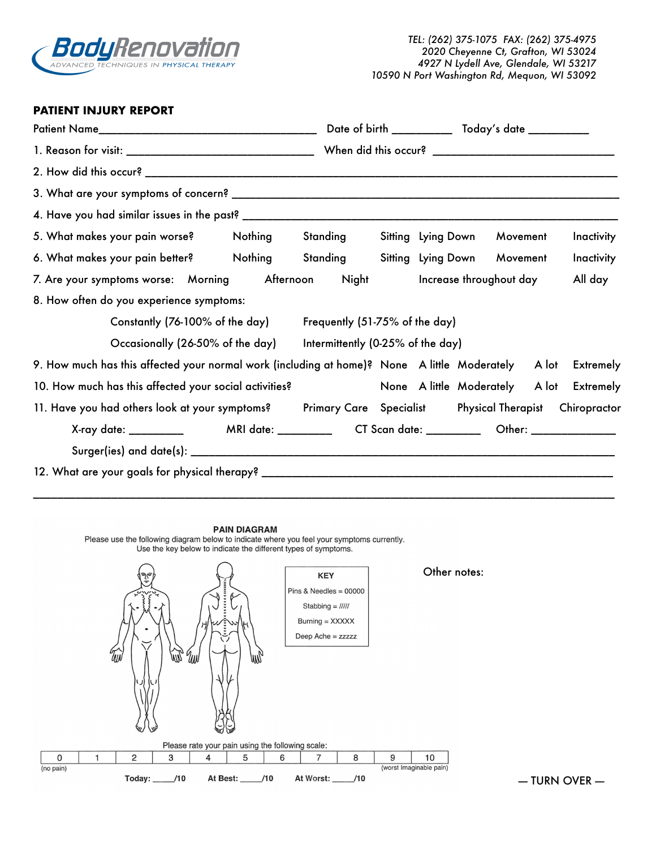

## **PATIENT INJURY REPORT**

|                                                                                                              |  | Date of birth ______________ Today's date ____________ |  |                           |  |          |  |                                          |
|--------------------------------------------------------------------------------------------------------------|--|--------------------------------------------------------|--|---------------------------|--|----------|--|------------------------------------------|
|                                                                                                              |  |                                                        |  |                           |  |          |  |                                          |
|                                                                                                              |  |                                                        |  |                           |  |          |  |                                          |
|                                                                                                              |  |                                                        |  |                           |  |          |  |                                          |
|                                                                                                              |  |                                                        |  |                           |  |          |  |                                          |
| 5. What makes your pain worse? Nothing Standing                                                              |  |                                                        |  | <b>Sitting Lying Down</b> |  | Movement |  | Inactivity                               |
| 6. What makes your pain better? Nothing Standing Sitting Lying Down Movement                                 |  |                                                        |  |                           |  |          |  | Inactivity                               |
| 7. Are your symptoms worse: Morning Afternoon Night Increase throughout day                                  |  |                                                        |  |                           |  |          |  | All day                                  |
| 8. How often do you experience symptoms:                                                                     |  |                                                        |  |                           |  |          |  |                                          |
| Constantly (76-100% of the day) Frequently (51-75% of the day)                                               |  |                                                        |  |                           |  |          |  |                                          |
| Occasionally (26-50% of the day) litermittently (0-25% of the day)                                           |  |                                                        |  |                           |  |          |  |                                          |
| 9. How much has this affected your normal work (including at home)? None A little Moderately A lot Extremely |  |                                                        |  |                           |  |          |  |                                          |
| 10. How much has this affected your social activities?                                                       |  |                                                        |  |                           |  |          |  | None A little Moderately A lot Extremely |
| 11. Have you had others look at your symptoms? Primary Care Specialist Physical Therapist Chiropractor       |  |                                                        |  |                           |  |          |  |                                          |
| X-ray date: ____________    MRI date: ___________  CT Scan date: __________  Other: _______________          |  |                                                        |  |                           |  |          |  |                                          |
|                                                                                                              |  |                                                        |  |                           |  |          |  |                                          |
|                                                                                                              |  |                                                        |  |                           |  |          |  |                                          |

## **PAIN DIAGRAM**

Please use the following diagram below to indicate where you feel your symptoms currently. Use the key below to indicate the different types of symptoms.



 $-$  TURN OVER  $-$